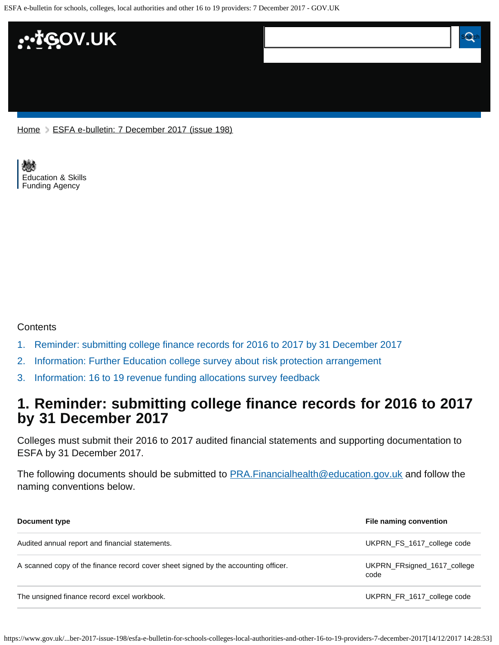ESFA e-bulletin for schools, colleges, local authorities and other 16 to 19 providers: 7 December 2017 - GOV.UK



[Home](https://www.gov.uk/) > [ESFA e-bulletin: 7 December 2017 \(issue 198\)](https://www.gov.uk/government/publications/esfa-e-bulletin-7-december-2017-issue-198)

[Education & Skills](https://www.gov.uk/government/organisations/education-and-skills-funding-agency)  [Funding Agency](https://www.gov.uk/government/organisations/education-and-skills-funding-agency)

#### **Contents**

- [1.](#page-0-0) [Reminder: submitting college finance records for 2016 to 2017 by 31 December 2017](#page-0-0)
- [2.](#page-1-0) [Information: Further Education college survey about risk protection arrangement](#page-1-0)
- [3.](#page-1-1) [Information: 16 to 19 revenue funding allocations survey feedback](#page-1-1)

## <span id="page-0-0"></span>**1. Reminder: submitting college finance records for 2016 to 2017 by 31 December 2017**

Colleges must submit their 2016 to 2017 audited financial statements and supporting documentation to ESFA by 31 December 2017.

The following documents should be submitted to **PRA.Financialhealth@education.gov.uk** and follow the naming conventions below.

| Document type                                                                      | File naming convention              |
|------------------------------------------------------------------------------------|-------------------------------------|
| Audited annual report and financial statements.                                    | UKPRN_FS_1617_college code          |
| A scanned copy of the finance record cover sheet signed by the accounting officer. | UKPRN FRsigned 1617 college<br>code |
| The unsigned finance record excel workbook.                                        | UKPRN FR 1617 college code          |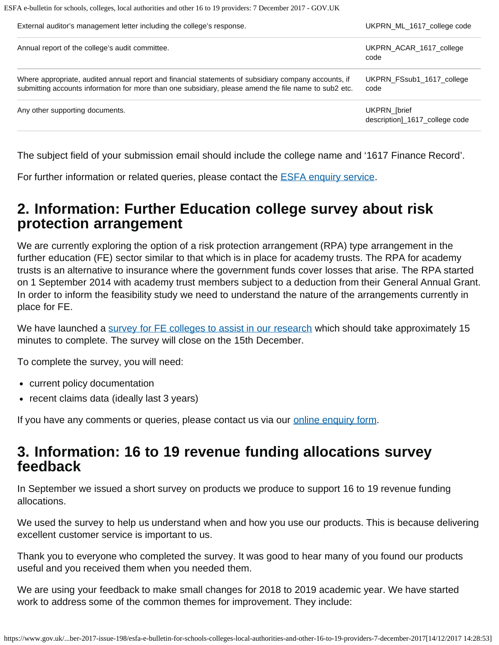ESFA e-bulletin for schools, colleges, local authorities and other 16 to 19 providers: 7 December 2017 - GOV.UK

| External auditor's management letter including the college's response.                                                                                                                                        | UKPRN ML 1617 college code                     |
|---------------------------------------------------------------------------------------------------------------------------------------------------------------------------------------------------------------|------------------------------------------------|
| Annual report of the college's audit committee.                                                                                                                                                               | UKPRN ACAR 1617 college<br>code                |
| Where appropriate, audited annual report and financial statements of subsidiary company accounts, if<br>submitting accounts information for more than one subsidiary, please amend the file name to sub2 etc. | UKPRN FSsub1 1617 college<br>code              |
| Any other supporting documents.                                                                                                                                                                               | UKPRN_[brief<br>description]_1617_college code |

The subject field of your submission email should include the college name and '1617 Finance Record'.

For further information or related queries, please contact the **ESFA enquiry service**.

# <span id="page-1-0"></span>**2. Information: Further Education college survey about risk protection arrangement**

We are currently exploring the option of a risk protection arrangement (RPA) type arrangement in the further education (FE) sector similar to that which is in place for academy trusts. The RPA for academy trusts is an alternative to insurance where the government funds cover losses that arise. The RPA started on 1 September 2014 with academy trust members subject to a deduction from their General Annual Grant. In order to inform the feasibility study we need to understand the nature of the arrangements currently in place for FE.

We have launched a [survey for FE colleges to assist in our research](http://www.smartsurvey.co.uk/s/FESurvey/) which should take approximately 15 minutes to complete. The survey will close on the 15th December.

To complete the survey, you will need:

- current policy documentation
- recent claims data (ideally last 3 years)

If you have any comments or queries, please contact us via our [online enquiry form](https://form.education.gov.uk/fillform.php?self=1&form_id=HR41uA2F8Dh&type=form&ShowMsg=1&form_name=Knowledge+centre+enquiry+form&noRegister=false&ret=%2Fmodule%2Fservices&noLoginPrompt=1).

# <span id="page-1-1"></span>**3. Information: 16 to 19 revenue funding allocations survey feedback**

In September we issued a short survey on products we produce to support 16 to 19 revenue funding allocations.

We used the survey to help us understand when and how you use our products. This is because delivering excellent customer service is important to us.

Thank you to everyone who completed the survey. It was good to hear many of you found our products useful and you received them when you needed them.

We are using your feedback to make small changes for 2018 to 2019 academic year. We have started work to address some of the common themes for improvement. They include: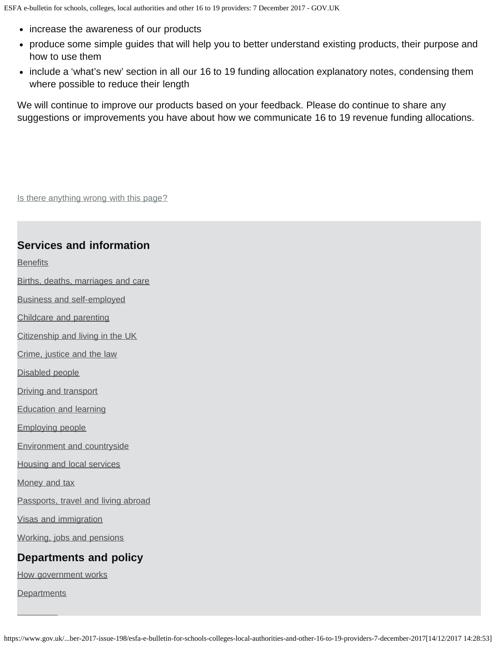- increase the awareness of our products
- produce some simple guides that will help you to better understand existing products, their purpose and how to use them
- include a 'what's new' section in all our 16 to 19 funding allocation explanatory notes, condensing them where possible to reduce their length

We will continue to improve our products based on your feedback. Please do continue to share any suggestions or improvements you have about how we communicate 16 to 19 revenue funding allocations.

Is there anything wrong with this page?

### **Services and information**

**[Benefits](https://www.gov.uk/browse/benefits)** 

[Births, deaths, marriages and care](https://www.gov.uk/browse/births-deaths-marriages)

[Business and self-employed](https://www.gov.uk/browse/business)

[Childcare and parenting](https://www.gov.uk/browse/childcare-parenting)

[Citizenship and living in the UK](https://www.gov.uk/browse/citizenship)

[Crime, justice and the law](https://www.gov.uk/browse/justice)

[Disabled people](https://www.gov.uk/browse/disabilities)

**[Driving and transport](https://www.gov.uk/browse/driving)** 

[Education and learning](https://www.gov.uk/browse/education)

[Employing people](https://www.gov.uk/browse/employing-people)

[Environment and countryside](https://www.gov.uk/browse/environment-countryside)

[Housing and local services](https://www.gov.uk/browse/housing-local-services)

[Money and tax](https://www.gov.uk/browse/tax)

[Passports, travel and living abroad](https://www.gov.uk/browse/abroad)

[Visas and immigration](https://www.gov.uk/browse/visas-immigration)

[Working, jobs and pensions](https://www.gov.uk/browse/working)

#### **Departments and policy**

[How government works](https://www.gov.uk/government/how-government-works)

**[Departments](https://www.gov.uk/government/organisations)**